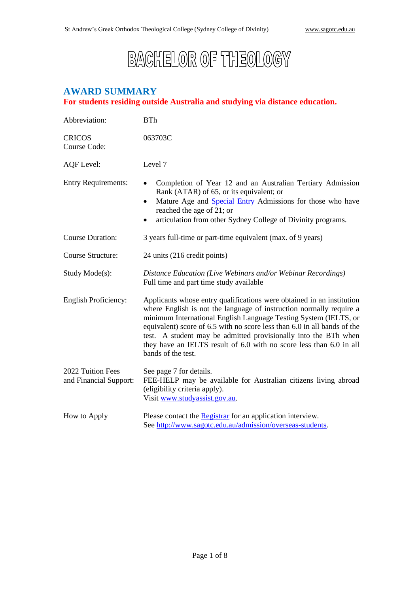# **BACHELOR OF THEOLOGY**

# **AWARD SUMMARY**

# **For students residing outside Australia and studying via distance education.**

| Abbreviation:                               | <b>BTh</b>                                                                                                                                                                                                                                                                                                                                                                                                                                                   |  |
|---------------------------------------------|--------------------------------------------------------------------------------------------------------------------------------------------------------------------------------------------------------------------------------------------------------------------------------------------------------------------------------------------------------------------------------------------------------------------------------------------------------------|--|
| <b>CRICOS</b><br>Course Code:               | 063703C                                                                                                                                                                                                                                                                                                                                                                                                                                                      |  |
| AQF Level:                                  | Level 7                                                                                                                                                                                                                                                                                                                                                                                                                                                      |  |
| <b>Entry Requirements:</b>                  | Completion of Year 12 and an Australian Tertiary Admission<br>Rank (ATAR) of 65, or its equivalent; or<br>Mature Age and <b>Special Entry</b> Admissions for those who have<br>٠<br>reached the age of 21; or<br>articulation from other Sydney College of Divinity programs.<br>٠                                                                                                                                                                           |  |
| <b>Course Duration:</b>                     | 3 years full-time or part-time equivalent (max. of 9 years)                                                                                                                                                                                                                                                                                                                                                                                                  |  |
| Course Structure:                           | 24 units (216 credit points)                                                                                                                                                                                                                                                                                                                                                                                                                                 |  |
| Study Mode(s):                              | Distance Education (Live Webinars and/or Webinar Recordings)<br>Full time and part time study available                                                                                                                                                                                                                                                                                                                                                      |  |
| English Proficiency:                        | Applicants whose entry qualifications were obtained in an institution<br>where English is not the language of instruction normally require a<br>minimum International English Language Testing System (IELTS, or<br>equivalent) score of 6.5 with no score less than 6.0 in all bands of the<br>test. A student may be admitted provisionally into the BTh when<br>they have an IELTS result of 6.0 with no score less than 6.0 in all<br>bands of the test. |  |
| 2022 Tuition Fees<br>and Financial Support: | See page 7 for details.<br>FEE-HELP may be available for Australian citizens living abroad<br>(eligibility criteria apply).<br>Visit www.studyassist.gov.au.                                                                                                                                                                                                                                                                                                 |  |
| How to Apply                                | Please contact the <b>Registrar</b> for an application interview.<br>See http://www.sagotc.edu.au/admission/overseas-students.                                                                                                                                                                                                                                                                                                                               |  |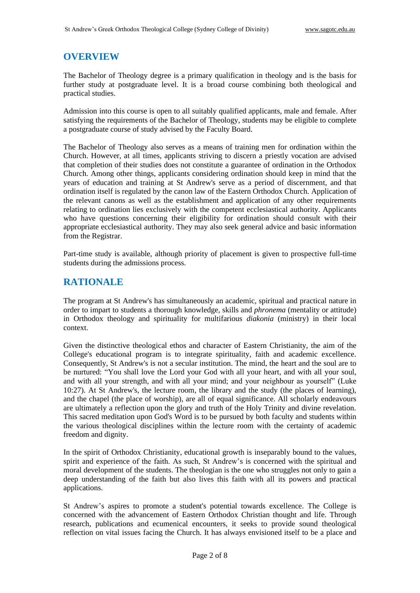## **OVERVIEW**

The Bachelor of Theology degree is a primary qualification in theology and is the basis for further study at postgraduate level. It is a broad course combining both theological and practical studies.

Admission into this course is open to all suitably qualified applicants, male and female. After satisfying the requirements of the Bachelor of Theology, students may be eligible to complete a postgraduate course of study advised by the Faculty Board.

The Bachelor of Theology also serves as a means of training men for ordination within the Church. However, at all times, applicants striving to discern a priestly vocation are advised that completion of their studies does not constitute a guarantee of ordination in the Orthodox Church. Among other things, applicants considering ordination should keep in mind that the years of education and training at St Andrew's serve as a period of discernment, and that ordination itself is regulated by the canon law of the Eastern Orthodox Church. Application of the relevant canons as well as the establishment and application of any other requirements relating to ordination lies exclusively with the competent ecclesiastical authority. Applicants who have questions concerning their eligibility for ordination should consult with their appropriate ecclesiastical authority. They may also seek general advice and basic information from the Registrar.

Part-time study is available, although priority of placement is given to prospective full-time students during the admissions process.

## **RATIONALE**

The program at St Andrew's has simultaneously an academic, spiritual and practical nature in order to impart to students a thorough knowledge, skills and *phronema* (mentality or attitude) in Orthodox theology and spirituality for multifarious *diakonia* (ministry) in their local context.

Given the distinctive theological ethos and character of Eastern Christianity, the aim of the College's educational program is to integrate spirituality, faith and academic excellence. Consequently, St Andrew's is not a secular institution. The mind, the heart and the soul are to be nurtured: "You shall love the Lord your God with all your heart, and with all your soul, and with all your strength, and with all your mind; and your neighbour as yourself" (Luke 10:27). At St Andrew's, the lecture room, the library and the study (the places of learning), and the chapel (the place of worship), are all of equal significance. All scholarly endeavours are ultimately a reflection upon the glory and truth of the Holy Trinity and divine revelation. This sacred meditation upon God's Word is to be pursued by both faculty and students within the various theological disciplines within the lecture room with the certainty of academic freedom and dignity.

In the spirit of Orthodox Christianity, educational growth is inseparably bound to the values, spirit and experience of the faith. As such, St Andrew's is concerned with the spiritual and moral development of the students. The theologian is the one who struggles not only to gain a deep understanding of the faith but also lives this faith with all its powers and practical applications.

St Andrew's aspires to promote a student's potential towards excellence. The College is concerned with the advancement of Eastern Orthodox Christian thought and life. Through research, publications and ecumenical encounters, it seeks to provide sound theological reflection on vital issues facing the Church. It has always envisioned itself to be a place and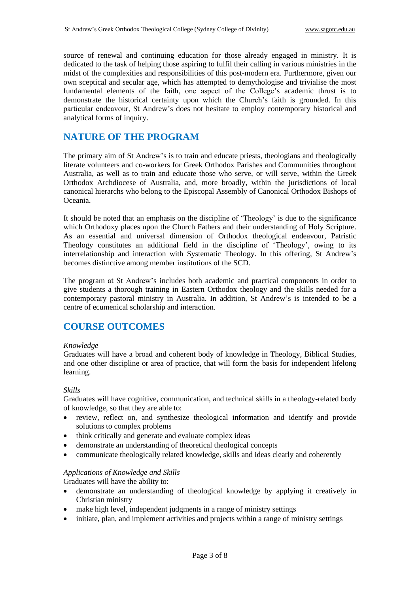source of renewal and continuing education for those already engaged in ministry. It is dedicated to the task of helping those aspiring to fulfil their calling in various ministries in the midst of the complexities and responsibilities of this post-modern era. Furthermore, given our own sceptical and secular age, which has attempted to demythologise and trivialise the most fundamental elements of the faith, one aspect of the College's academic thrust is to demonstrate the historical certainty upon which the Church's faith is grounded. In this particular endeavour, St Andrew's does not hesitate to employ contemporary historical and analytical forms of inquiry.

## **NATURE OF THE PROGRAM**

The primary aim of St Andrew's is to train and educate priests, theologians and theologically literate volunteers and co-workers for Greek Orthodox Parishes and Communities throughout Australia, as well as to train and educate those who serve, or will serve, within the Greek Orthodox Archdiocese of Australia, and, more broadly, within the jurisdictions of local canonical hierarchs who belong to the Episcopal Assembly of Canonical Orthodox Bishops of Oceania.

It should be noted that an emphasis on the discipline of 'Theology' is due to the significance which Orthodoxy places upon the Church Fathers and their understanding of Holy Scripture. As an essential and universal dimension of Orthodox theological endeavour, Patristic Theology constitutes an additional field in the discipline of 'Theology', owing to its interrelationship and interaction with Systematic Theology. In this offering, St Andrew's becomes distinctive among member institutions of the SCD.

The program at St Andrew's includes both academic and practical components in order to give students a thorough training in Eastern Orthodox theology and the skills needed for a contemporary pastoral ministry in Australia. In addition, St Andrew's is intended to be a centre of ecumenical scholarship and interaction.

## **COURSE OUTCOMES**

#### *Knowledge*

Graduates will have a broad and coherent body of knowledge in Theology, Biblical Studies, and one other discipline or area of practice, that will form the basis for independent lifelong learning.

#### *Skills*

Graduates will have cognitive, communication, and technical skills in a theology-related body of knowledge, so that they are able to:

- review, reflect on, and synthesize theological information and identify and provide solutions to complex problems
- think critically and generate and evaluate complex ideas
- demonstrate an understanding of theoretical theological concepts
- communicate theologically related knowledge, skills and ideas clearly and coherently

#### *Applications of Knowledge and Skills*

Graduates will have the ability to:

- demonstrate an understanding of theological knowledge by applying it creatively in Christian ministry
- make high level, independent judgments in a range of ministry settings
- initiate, plan, and implement activities and projects within a range of ministry settings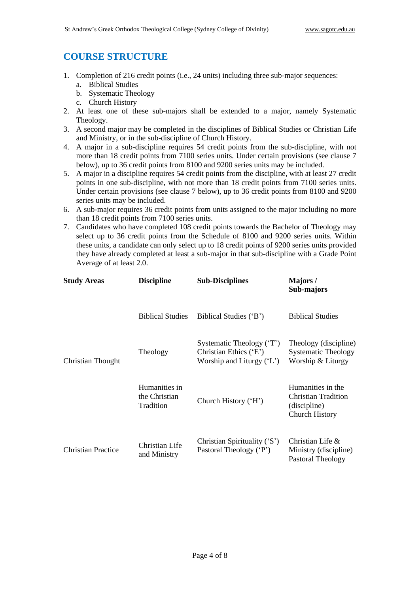# **COURSE STRUCTURE**

- 1. Completion of 216 credit points (i.e., 24 units) including three sub-major sequences:
	- a. Biblical Studies
	- b. Systematic Theology
	- c. Church History
- 2. At least one of these sub-majors shall be extended to a major, namely Systematic Theology.
- 3. A second major may be completed in the disciplines of Biblical Studies or Christian Life and Ministry, or in the sub-discipline of Church History.
- 4. A major in a sub-discipline requires 54 credit points from the sub-discipline, with not more than 18 credit points from 7100 series units. Under certain provisions (see clause 7 below), up to 36 credit points from 8100 and 9200 series units may be included.
- 5. A major in a discipline requires 54 credit points from the discipline, with at least 27 credit points in one sub-discipline, with not more than 18 credit points from 7100 series units. Under certain provisions (see clause 7 below), up to 36 credit points from 8100 and 9200 series units may be included.
- 6. A sub-major requires 36 credit points from units assigned to the major including no more than 18 credit points from 7100 series units.
- 7. Candidates who have completed 108 credit points towards the Bachelor of Theology may select up to 36 credit points from the Schedule of 8100 and 9200 series units. Within these units, a candidate can only select up to 18 credit points of 9200 series units provided they have already completed at least a sub-major in that sub-discipline with a Grade Point Average of at least 2.0.

| <b>Study Areas</b>        | <b>Discipline</b>                           | <b>Sub-Disciplines</b>                                                            | Majors/<br>Sub-majors                                                                    |
|---------------------------|---------------------------------------------|-----------------------------------------------------------------------------------|------------------------------------------------------------------------------------------|
| Christian Thought         | <b>Biblical Studies</b>                     | Biblical Studies ('B')                                                            | <b>Biblical Studies</b>                                                                  |
|                           | Theology                                    | Systematic Theology ('T')<br>Christian Ethics ('E')<br>Worship and Liturgy $(L')$ | Theology (discipline)<br><b>Systematic Theology</b><br>Worship & Liturgy                 |
|                           | Humanities in<br>the Christian<br>Tradition | Church History ('H')                                                              | Humanities in the<br><b>Christian Tradition</b><br>(discipline)<br><b>Church History</b> |
| <b>Christian Practice</b> | Christian Life<br>and Ministry              | Christian Spirituality ('S')<br>Pastoral Theology ('P')                           | Christian Life $\&$<br>Ministry (discipline)<br>Pastoral Theology                        |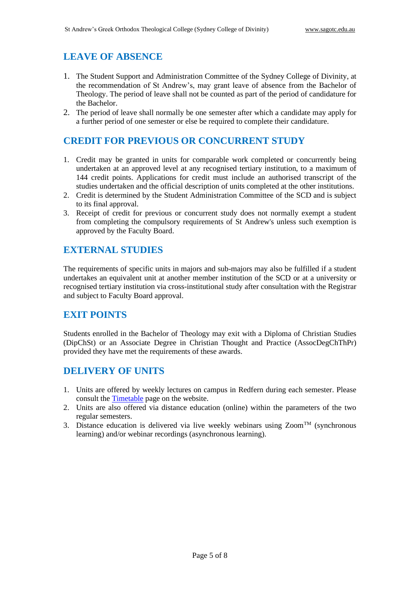# **LEAVE OF ABSENCE**

- 1. The Student Support and Administration Committee of the Sydney College of Divinity, at the recommendation of St Andrew's, may grant leave of absence from the Bachelor of Theology. The period of leave shall not be counted as part of the period of candidature for the Bachelor.
- 2. The period of leave shall normally be one semester after which a candidate may apply for a further period of one semester or else be required to complete their candidature.

## **CREDIT FOR PREVIOUS OR CONCURRENT STUDY**

- 1. Credit may be granted in units for comparable work completed or concurrently being undertaken at an approved level at any recognised tertiary institution, to a maximum of 144 credit points. Applications for credit must include an authorised transcript of the studies undertaken and the official description of units completed at the other institutions.
- 2. Credit is determined by the Student Administration Committee of the SCD and is subject to its final approval.
- 3. Receipt of credit for previous or concurrent study does not normally exempt a student from completing the compulsory requirements of St Andrew's unless such exemption is approved by the Faculty Board.

# **EXTERNAL STUDIES**

The requirements of specific units in majors and sub-majors may also be fulfilled if a student undertakes an equivalent unit at another member institution of the SCD or at a university or recognised tertiary institution via cross-institutional study after consultation with the Registrar and subject to Faculty Board approval.

## **EXIT POINTS**

Students enrolled in the Bachelor of Theology may exit with a Diploma of Christian Studies (DipChSt) or an Associate Degree in Christian Thought and Practice (AssocDegChThPr) provided they have met the requirements of these awards.

## **DELIVERY OF UNITS**

- 1. Units are offered by weekly lectures on campus in Redfern during each semester. Please consult the [Timetable](http://www.sagotc.edu.au/studies/timetables) page on the website.
- 2. Units are also offered via distance education (online) within the parameters of the two regular semesters.
- 3. Distance education is delivered via live weekly webinars using  $Zoom^{TM}$  (synchronous learning) and/or webinar recordings (asynchronous learning).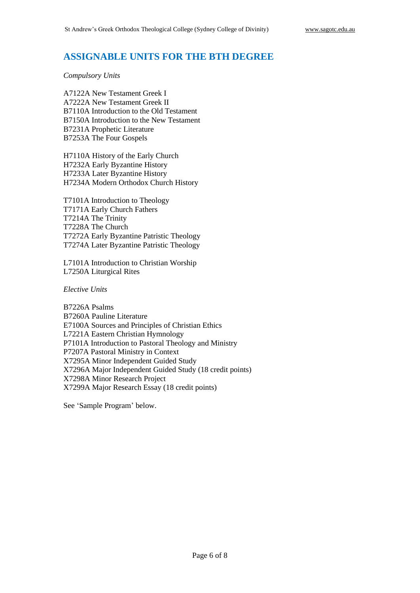## **ASSIGNABLE UNITS FOR THE BTH DEGREE**

*Compulsory Units*

A7122A New Testament Greek I A7222A New Testament Greek II B7110A Introduction to the Old Testament B7150A Introduction to the New Testament B7231A Prophetic Literature B7253A The Four Gospels

H7110A History of the Early Church H7232A Early Byzantine History H7233A Later Byzantine History H7234A Modern Orthodox Church History

T7101A Introduction to Theology T7171A Early Church Fathers T7214A The Trinity T7228A The Church T7272A Early Byzantine Patristic Theology T7274A Later Byzantine Patristic Theology

L7101A Introduction to Christian Worship L7250A Liturgical Rites

*Elective Units*

B7226A Psalms B7260A Pauline Literature E7100A Sources and Principles of Christian Ethics L7221A Eastern Christian Hymnology P7101A Introduction to Pastoral Theology and Ministry P7207A Pastoral Ministry in Context X7295A Minor Independent Guided Study X7296A Major Independent Guided Study (18 credit points) X7298A Minor Research Project X7299A Major Research Essay (18 credit points)

See 'Sample Program' below.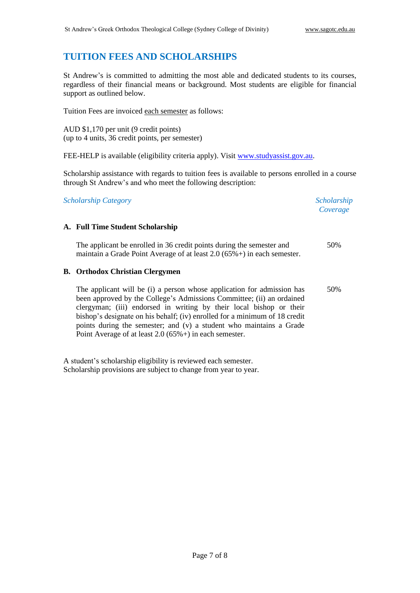# **TUITION FEES AND SCHOLARSHIPS**

St Andrew's is committed to admitting the most able and dedicated students to its courses, regardless of their financial means or background. Most students are eligible for financial support as outlined below.

Tuition Fees are invoiced each semester as follows:

AUD \$1,170 per unit (9 credit points) (up to 4 units, 36 credit points, per semester)

FEE-HELP is available (eligibility criteria apply). Visit [www.studyassist.gov.au.](http://www.studyassist.gov.au/)

Scholarship assistance with regards to tuition fees is available to persons enrolled in a course through St Andrew's and who meet the following description:

*Scholarship Category Scholarship* 

*Coverage*

#### **A. Full Time Student Scholarship**

The applicant be enrolled in 36 credit points during the semester and maintain a Grade Point Average of at least 2.0 (65%+) in each semester. 50%

#### **B. Orthodox Christian Clergymen**

The applicant will be (i) a person whose application for admission has been approved by the College's Admissions Committee; (ii) an ordained clergyman; (iii) endorsed in writing by their local bishop or their bishop's designate on his behalf; (iv) enrolled for a minimum of 18 credit points during the semester; and (v) a student who maintains a Grade Point Average of at least 2.0 (65%+) in each semester. 50%

A student's scholarship eligibility is reviewed each semester. Scholarship provisions are subject to change from year to year.